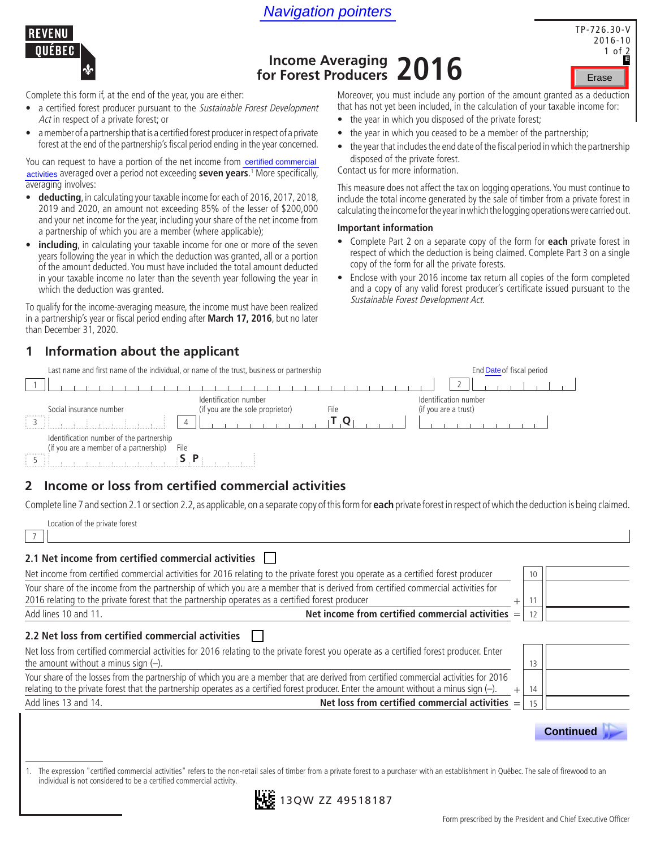



# TP-726.30-V 2016-10 1 of 2

# **Income Averaging 2016**<br> **Income Averaging 2016**<br> **For Forest Producers 2016**

Complete this form if, at the end of the year, you are either:

- a certified forest producer pursuant to the Sustainable Forest Development Act in respect of a private forest; or
- a member of a partnership that is a certified forest producer in respect of a private forest at the end of the partnership's fiscal period ending in the year concerned.

You can request to have a portion of the net income from certified commercial activities averaged over a period not exceeding **seven years**.<sup>1</sup> More specifically, averaging involves:

- **deducting**, in calculating your taxable income for each of 2016, 2017, 2018, 2019 and 2020, an amount not exceeding 85% of the lesser of \$200,000 and your net income for the year, including your share of the net income from a partnership of which you are a member (where applicable);
- **including**, in calculating your taxable income for one or more of the seven years following the year in which the deduction was granted, all or a portion of the amount deducted. You must have included the total amount deducted in your taxable income no later than the seventh year following the year in which the deduction was granted.

To qualify for the income-averaging measure, the income must have been realized in a partnership's year or fiscal period ending after **March 17, 2016**, but no later than December 31, 2020.

### **1 Information about the applicant**

Last name and first name of the individual, or name of the trust, business or partnership End date of fiscal period

Moreover, you must include any portion of the amount granted as a deduction that has not yet been included, in the calculation of your taxable income for:

- the year in which you disposed of the private forest;
- the year in which you ceased to be a member of the partnership;
- the year that includes the end date of the fiscal period in which the partnership disposed of the private forest.

Contact us for more information.

This measure does not affect the tax on logging operations. You must continue to include the total income generated by the sale of timber from a private forest in calculating the income for the year in which the logging operations were carried out.

### **Important information**

- Complete Part 2 on a separate copy of the form for **each** private forest in respect of which the deduction is being claimed. Complete Part 3 on a single copy of the form for all the private forests. **Call Convertibled commercial**<br>
S. More specifically,<br>
This measure does not affect the tax on loggin<br>
f 2016, 2017, 2018,<br>
Include the total income generated by the sa<br>
lesser of \$200,000<br>
calculating the income for the
	- Enclose with your 2016 income tax return all copies of the form completed and a copy of any valid forest producer's certificate issued pursuant to the Sustainable Forest Development Act.

|                                                                                        | Last hame and inst hame of the individual, or hame of the trust, business or partnership  | Erig Date of fiscal period |
|----------------------------------------------------------------------------------------|-------------------------------------------------------------------------------------------|----------------------------|
|                                                                                        |                                                                                           |                            |
| Social insurance number                                                                | Identification number<br>(if you are the sole proprietor)<br>File<br>(if you are a trust) | Identification number      |
|                                                                                        | $\overline{4}$                                                                            |                            |
| Identification number of the partnership<br>(if you are a member of a partnership)<br> | File                                                                                      |                            |
|                                                                                        |                                                                                           |                            |

### **2 Income or loss from certified commercial activities**

Complete line 7 and section 2.1 or section 2.2, as applicable, on a separate copy of this form for **each** private forest in respect of which the deduction is being claimed.

Location of the private forest

7

### **2.1 Net income from certified commercial activities**

| Net income from certified commercial activities for 2016 relating to the private forest you operate as a certified forest producer                                                                                                                                                |        | 10 |  |
|-----------------------------------------------------------------------------------------------------------------------------------------------------------------------------------------------------------------------------------------------------------------------------------|--------|----|--|
| Your share of the income from the partnership of which you are a member that is derived from certified commercial activities for<br>2016 relating to the private forest that the partnership operates as a certified forest producer                                              |        |    |  |
| Net income from certified commercial activities $=$<br>Add lines 10 and 11.                                                                                                                                                                                                       |        |    |  |
| 2.2 Net loss from certified commercial activities                                                                                                                                                                                                                                 |        |    |  |
| Net loss from certified commercial activities for 2016 relating to the private forest you operate as a certified forest producer. Enter<br>the amount without a minus sign $(-)$ .                                                                                                |        | 13 |  |
| Your share of the losses from the partnership of which you are a member that are derived from certified commercial activities for 2016<br>relating to the private forest that the partnership operates as a certified forest producer. Enter the amount without a minus sign (-). | $^{+}$ | 14 |  |
| Net loss from certified commercial activities $=$<br>Add lines 13 and 14.                                                                                                                                                                                                         |        |    |  |

1. The expression "certified commercial activities" refers to the non-retail sales of timber from a private forest to a purchaser with an establishment in Québec. The sale of firewood to an individual is not considered to be a certified commercial activity.